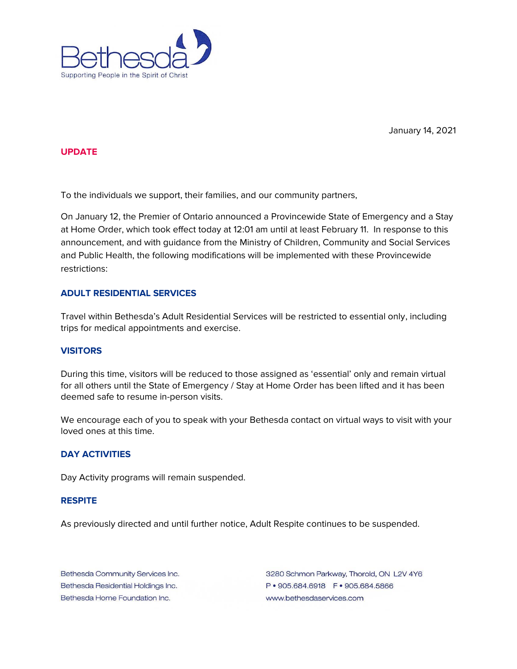

January 14, 2021

### **UPDATE**

To the individuals we support, their families, and our community partners,

On January 12, the Premier of Ontario announced a Provincewide State of Emergency and a Stay at Home Order, which took effect today at 12:01 am until at least February 11. In response to this announcement, and with guidance from the Ministry of Children, Community and Social Services and Public Health, the following modifications will be implemented with these Provincewide restrictions:

# **ADULT RESIDENTIAL SERVICES**

Travel within Bethesda's Adult Residential Services will be restricted to essential only, including trips for medical appointments and exercise.

### **VISITORS**

During this time, visitors will be reduced to those assigned as 'essential' only and remain virtual for all others until the State of Emergency / Stay at Home Order has been lifted and it has been deemed safe to resume in-person visits.

We encourage each of you to speak with your Bethesda contact on virtual ways to visit with your loved ones at this time.

#### **DAY ACTIVITIES**

Day Activity programs will remain suspended.

### **RESPITE**

As previously directed and until further notice, Adult Respite continues to be suspended.

Bethesda Community Services Inc. Bethesda Residential Holdings Inc. Bethesda Home Foundation Inc.

3280 Schmon Parkway, Thorold, ON L2V 4Y6 www.bethesdaservices.com